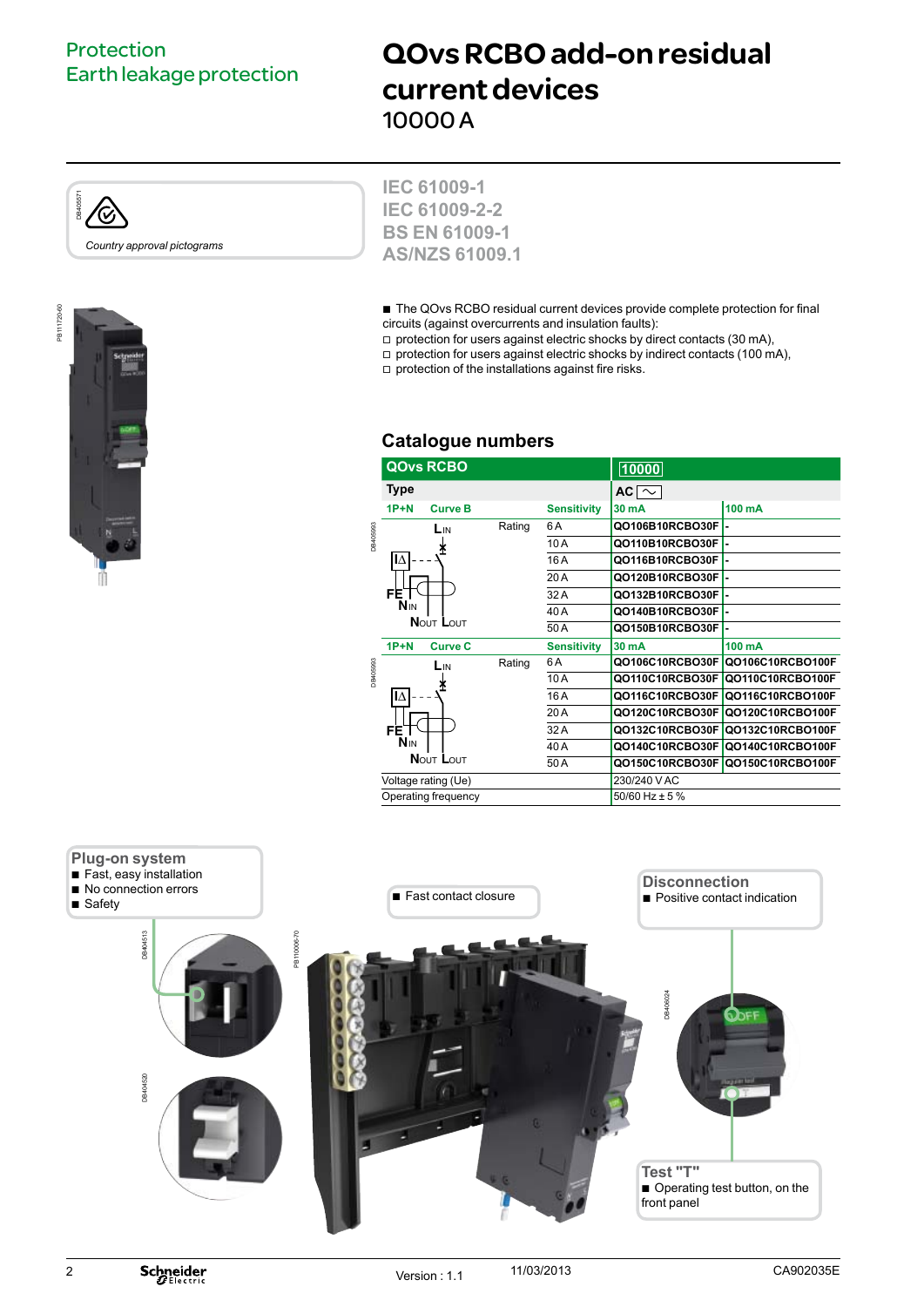## Protection Earth leakage protection

# QOvs RCBO add-on residual current devices 10000 A







**IEC 61009-1 IEC 61009-2-2 BS EN 61009-1 AS/NZS 61009.1**

 $\blacksquare$  The QOvs RCBO residual current devices provide complete protection for final circuits (against overcurrents and insulation faults):

 $\square$  protection for users against electric shocks by direct contacts (30 mA),

 $\Box$  protection for users against electric shocks by indirect contacts (100 mA),

 $\Box$  protection of the installations against fire risks.

## **Catalogue numbers**

|          | <b>QOvs RCBO</b>                           |                     |        |                    | 10000             |                  |  |
|----------|--------------------------------------------|---------------------|--------|--------------------|-------------------|------------------|--|
|          | <b>Type</b>                                |                     |        |                    | AC $\sim$         |                  |  |
|          | $1P+N$                                     | <b>Curve B</b>      |        | <b>Sensitivity</b> | 30 mA             | 100 mA           |  |
|          |                                            | LIN                 | Rating | 6 A                | Q0106B10RCB030FI- |                  |  |
| DB405993 |                                            |                     |        | 10A                | QO110B10RCBO30F   |                  |  |
|          | IΔ                                         |                     |        | 16A                | QO116B10RCBO30F   |                  |  |
|          |                                            |                     |        | 20A                | QO120B10RCBO30FI- |                  |  |
|          | FE.                                        |                     |        | 32 A               | QO132B10RCBO30FI- |                  |  |
|          | <b>NIN</b>                                 |                     |        | 40 A               | Q0140B10RCB030FI- |                  |  |
|          | NOUT LOUT                                  |                     |        | 50A                | QO150B10RCBO30F   |                  |  |
|          | $1P+N$                                     | <b>Curve C</b>      |        | <b>Sensitivity</b> | 30 mA             | $100 \text{ mA}$ |  |
| DB405993 |                                            | L <sub>IN</sub>     | Rating | 6 A                | QO106C10RCBO30F   | Q0106C10RCBO100F |  |
|          |                                            |                     |        | 10A                | QO110C10RCBO30F   | QO110C10RCBO100F |  |
|          | IΔ                                         |                     |        | 16A                | QO116C10RCBO30F   | Q0116C10RCB0100F |  |
|          |                                            |                     |        | 20 A               | QO120C10RCBO30F   | Q0120C10RCBO100F |  |
|          | FE <sup>-</sup><br><b>NIN</b><br>NOUT LOUT |                     |        | 32 A               | QO132C10RCBO30F   | Q0132C10RCBO100F |  |
|          |                                            |                     |        | 40A                | QO140C10RCBO30F   | Q0140C10RCBO100F |  |
|          |                                            |                     |        | 50A                | QO150C10RCBO30F   | Q0150C10RCBO100F |  |
|          |                                            | Voltage rating (Ue) |        |                    | 230/240 V AC      |                  |  |
|          |                                            | Operating frequency |        |                    | 50/60 Hz ± 5 %    |                  |  |
|          |                                            |                     |        |                    |                   |                  |  |



2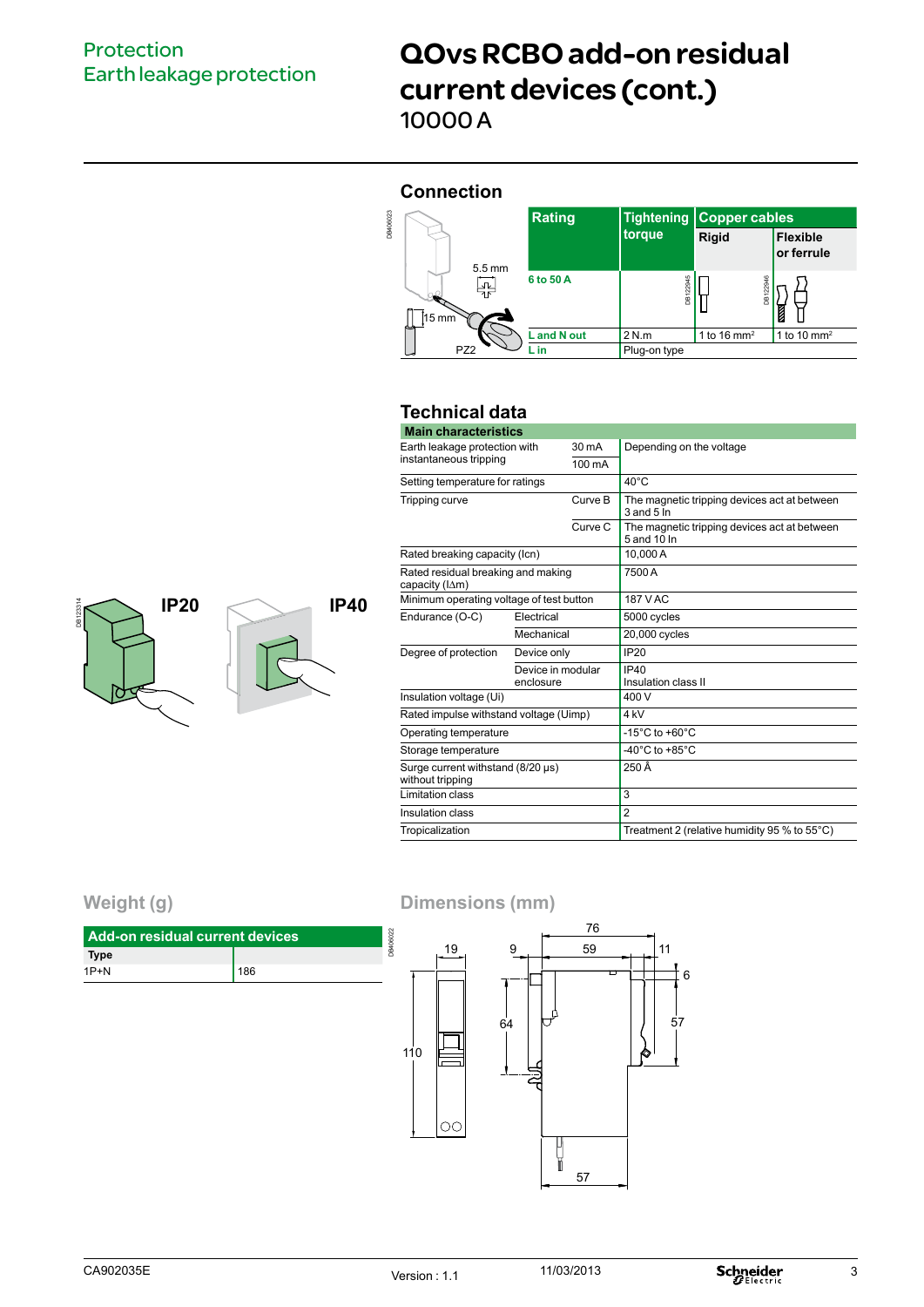## Protection Earth leakage protection

**IP20 IP40**

## QOvs RCBO add-on residual current devices (cont.) 10000 A

#### **Connection**



### **Technical data**

| <b>Main characteristics</b>                           |                                |         |                                                                |  |  |  |  |  |  |
|-------------------------------------------------------|--------------------------------|---------|----------------------------------------------------------------|--|--|--|--|--|--|
| Earth leakage protection with                         |                                | 30 mA   | Depending on the voltage                                       |  |  |  |  |  |  |
| instantaneous tripping                                |                                | 100 mA  |                                                                |  |  |  |  |  |  |
| Setting temperature for ratings                       |                                |         | $40^{\circ}$ C                                                 |  |  |  |  |  |  |
| Tripping curve                                        |                                | Curve B | The magnetic tripping devices act at between<br>$3$ and $5$ In |  |  |  |  |  |  |
|                                                       |                                | Curve C | The magnetic tripping devices act at between<br>5 and 10 In    |  |  |  |  |  |  |
| Rated breaking capacity (Icn)                         |                                |         | 10.000 A                                                       |  |  |  |  |  |  |
| Rated residual breaking and making<br>capacity (IAm)  |                                |         | 7500 A                                                         |  |  |  |  |  |  |
| Minimum operating voltage of test button              |                                |         | 187 V AC                                                       |  |  |  |  |  |  |
| Endurance (O-C)                                       | Electrical                     |         | 5000 cycles                                                    |  |  |  |  |  |  |
|                                                       | Mechanical                     |         | 20,000 cycles                                                  |  |  |  |  |  |  |
| Degree of protection                                  | Device only                    |         | <b>IP20</b>                                                    |  |  |  |  |  |  |
|                                                       | Device in modular<br>enclosure |         | <b>IP40</b><br>Insulation class II                             |  |  |  |  |  |  |
| Insulation voltage (Ui)                               |                                |         | 400 V                                                          |  |  |  |  |  |  |
| Rated impulse withstand voltage (Uimp)                |                                |         | 4 <sub>kV</sub>                                                |  |  |  |  |  |  |
| Operating temperature                                 |                                |         | -15 $^{\circ}$ C to +60 $^{\circ}$ C                           |  |  |  |  |  |  |
| Storage temperature                                   |                                |         | -40 $^{\circ}$ C to +85 $^{\circ}$ C                           |  |  |  |  |  |  |
| Surge current withstand (8/20 µs)<br>without tripping |                                |         | 250 Â                                                          |  |  |  |  |  |  |
| Limitation class                                      |                                |         | 3                                                              |  |  |  |  |  |  |
| Insulation class                                      |                                |         | $\overline{2}$                                                 |  |  |  |  |  |  |
| Tropicalization                                       |                                |         | Treatment 2 (relative humidity 95 % to 55°C)                   |  |  |  |  |  |  |

## **Weight (g)**

DB123314



**Dimensions (mm)**